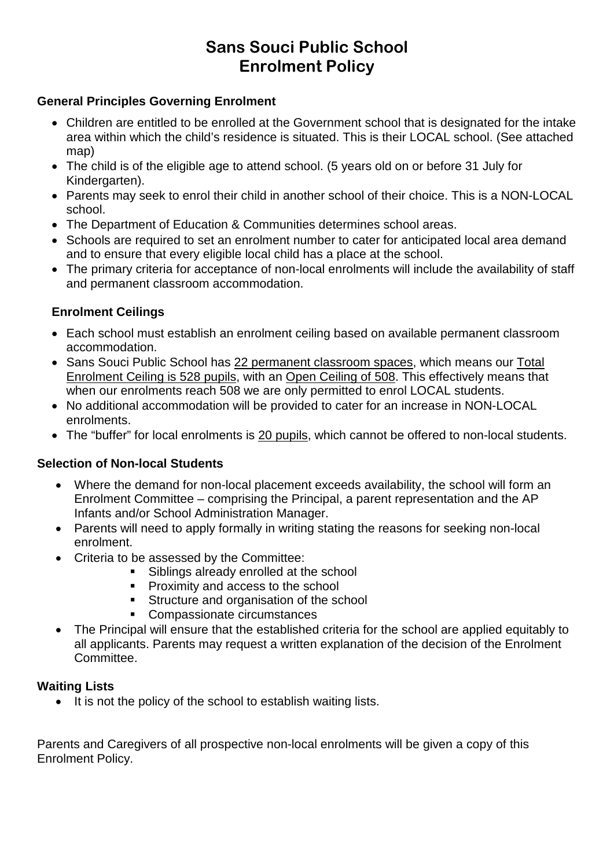# **Sans Souci Public School Enrolment Policy**

### **General Principles Governing Enrolment**

- Children are entitled to be enrolled at the Government school that is designated for the intake area within which the child's residence is situated. This is their LOCAL school. (See attached map)
- The child is of the eligible age to attend school. (5 years old on or before 31 July for Kindergarten).
- Parents may seek to enrol their child in another school of their choice. This is a NON-LOCAL school.
- The Department of Education & Communities determines school areas.
- Schools are required to set an enrolment number to cater for anticipated local area demand and to ensure that every eligible local child has a place at the school.
- The primary criteria for acceptance of non-local enrolments will include the availability of staff and permanent classroom accommodation.

### **Enrolment Ceilings**

- Each school must establish an enrolment ceiling based on available permanent classroom accommodation.
- Sans Souci Public School has 22 permanent classroom spaces, which means our Total Enrolment Ceiling is 528 pupils, with an Open Ceiling of 508. This effectively means that when our enrolments reach 508 we are only permitted to enrol LOCAL students.
- No additional accommodation will be provided to cater for an increase in NON-LOCAL enrolments.
- The "buffer" for local enrolments is 20 pupils, which cannot be offered to non-local students.

### **Selection of Non-local Students**

- Where the demand for non-local placement exceeds availability, the school will form an Enrolment Committee – comprising the Principal, a parent representation and the AP Infants and/or School Administration Manager.
- Parents will need to apply formally in writing stating the reasons for seeking non-local enrolment.
- Criteria to be assessed by the Committee:
	- Siblings already enrolled at the school
	- **Proximity and access to the school**
	- **Structure and organisation of the school**
	- **Compassionate circumstances**
- The Principal will ensure that the established criteria for the school are applied equitably to all applicants. Parents may request a written explanation of the decision of the Enrolment Committee.

#### **Waiting Lists**

• It is not the policy of the school to establish waiting lists.

Parents and Caregivers of all prospective non-local enrolments will be given a copy of this Enrolment Policy.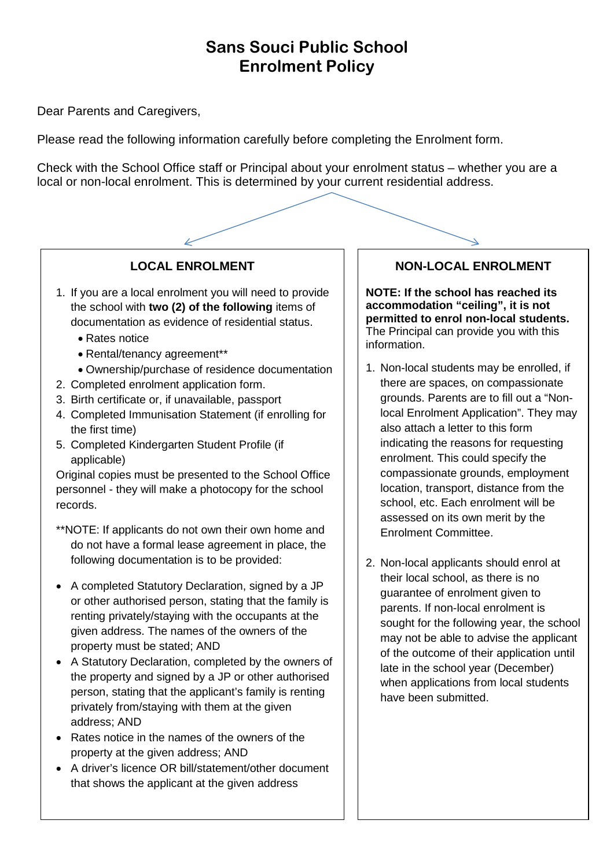# **Sans Souci Public School Enrolment Policy**

Dear Parents and Caregivers,

Please read the following information carefully before completing the Enrolment form.

Check with the School Office staff or Principal about your enrolment status – whether you are a local or non-local enrolment. This is determined by your current residential address.